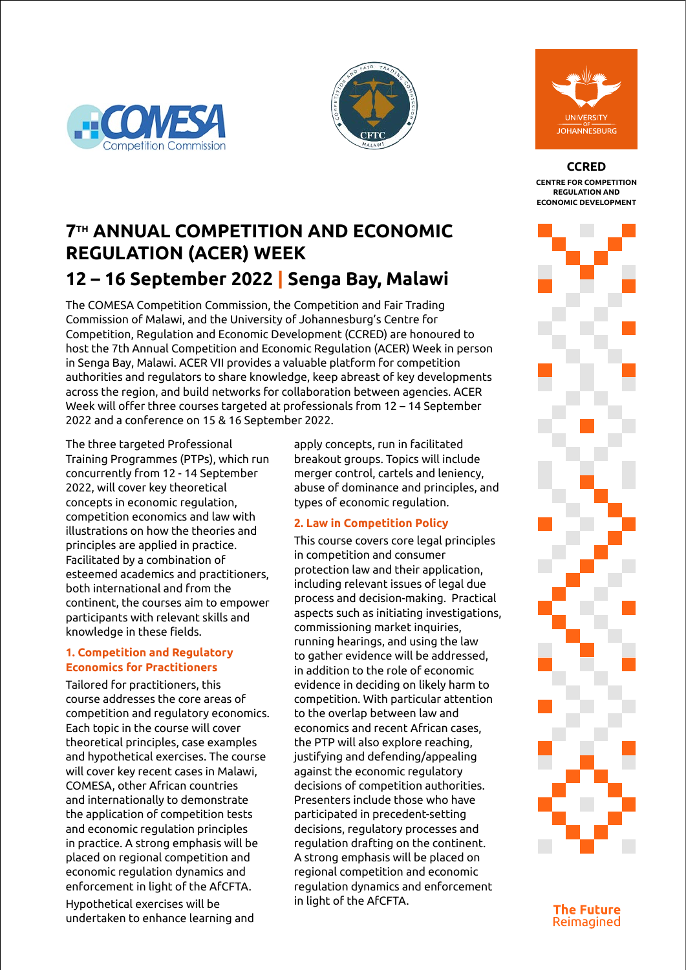





**CCRED**

**CENTRE FOR COMPETITION REGULATION AND ECONOMIC DEVELOPMENT**

## **7TH ANNUAL COMPETITION AND ECONOMIC REGULATION (ACER) WEEK** 12 **16 Contombo** ZOOM ¡ **https://zoom.us/j/99477285040 12 – 16 September 2022 | Senga Bay, Malawi**

The COMESA Competition Commission, the Competition and rail Trading<br>Commission of Malawi, and the University of Johannesburg's Centre for Organization (NATO) to the fore of global peace and security discourse. Competition, Regulation and Economic Development (CCRED) are honoured to There remains a question around NATO's place in global peace and security host the 7th Annual Competition and Economic Regulation (ACER) Week in person in Senga Bay, Malawi. ACER VII provides a valuable platform for competition  $\overline{\phantom{a}}$ authorities and regulators to share knowledge, keep abreast of key developments across the region, and build networks for collaboration between agencies. ACER Week will offer three courses targeted at professionals from 12 – 14 September 2022 and a conference on 15 & 16 September 2022. The COMESA Competition Commission, the Competition and Fair Trading

MODERATOR ¡ **Dr Ekeminiabasi Eyita-Okon** The three targeted Professional *– Post Doctoral Research Fellow, Centre for Africa-China Studies (CACS), UJ.* Training Programmes (PTPs), which run esheen ency noming in respection. concepts in economic regulation,<br>competition economics and law with illustrations on how the theories and **From Africa-China Studies** principles are applied in practice.<br>In competition 17:10 – 17:30 Address **Prof John Stremlau** esteemed academics and practitioners, both international and from the **Including** participants with relevant skills and <sup>aspects</sup> knowledge in these fields. concurrently from 12 - 14 September concepts in economic regulation, Facilitated by a combination of continent, the courses aim to empower

### **1. Competition and Regulatory**   $\mathbf{r}_{\mathbf{O}}$  aath **Economics for Practitioners**

COMESA, other African countries **Eyita-Okon** is a political economy<br>Distribution of the contract of the contract of the contract of the contract of the contract of the contract o<br>Separate contract of the contract of the contract of the contract of the contract of the cont the application of competition tests and economic regulation principles  $f_{\text{eff}}$  and  $f_{\text{eff}}$  at CACS,  $\theta$ . iii practice. placed on regional competition and economic regulation dynamics and  $\mathcal{L}$ Development with  $h \cdot h \cdot h \cdot d \cdot m \cdot n \cdot h$ and internationally to demonstrate on foreign affairs and foreign affairs and affairs and affairs and affairs and affairs and affairs and affairs iong emphasi news programs. enforcement in light of the AfCFTA. d University in practice. A strong emphasis will be a str Tailored for practitioners, this course addresses the core areas of competition and regulatory economics. Each topic in the course will cover theoretical principles, case examples and hypothetical exercises. The course will cover key recent cases in Malawi,

Hypothetical exercises will be food-water-energyenvertaken of the Nigerian Civil undertaken to enhance learning and

apply concepts, run in facilitated breakout groups. Topics will include merger control, cartels and leniency, abuse of dominance and principles, and types of economic regulation.

## **2. Law in Competition Policy**

**Professions of competition authorities.** te **Descepters** include the research focuses on serving as the leader International Relations participated in precedent-setting es error decisions, regulatory processes and bers metode enose  $\frac{1}{2}$ ion arafung or A strong emphasis will be placed on regional competition and economic 2020. He currently presents *The Mother*  regulation dynamics and enforcement in light of the AfCFTA.  $a \cdot b \cdot b \cdot b$ Presenters include those who have centre for Africa regulation drafting on the continent. This course covers core legal principles in competition and consumer protection law and their application, including relevant issues of legal due process and decision-making. Practical aspects such as initiating investigations, commissioning market inquiries, running hearings, and using the law to gather evidence will be addressed, in addition to the role of economic evidence in deciding on likely harm to competition. With particular attention to the overlap between law and economics and recent African cases, the PTP will also explore reaching, justifying and defending/appealing against the economic regulatory

**The Future** Reimagined